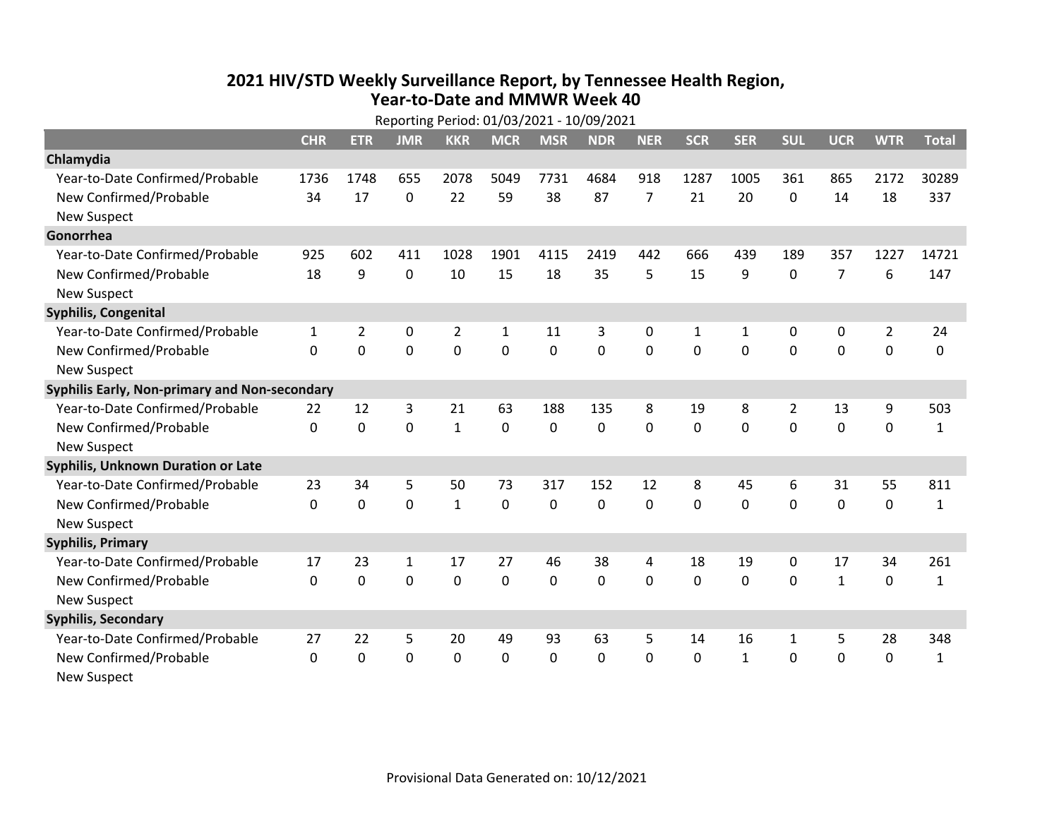## **2021 HIV /STD Weekly Surveillance Report, by Tennessee Health Region, Year‐to‐Date and MMWR Week 40** Reporting Period: 01/03/2021 ‐ 10/09/2021

| Reporting Period: 01/03/2021 - 10/09/2021     |              |                |              |                |              |              |            |                |            |              |              |                |                |              |
|-----------------------------------------------|--------------|----------------|--------------|----------------|--------------|--------------|------------|----------------|------------|--------------|--------------|----------------|----------------|--------------|
|                                               | <b>CHR</b>   | <b>ETR</b>     | <b>JMR</b>   | <b>KKR</b>     | <b>MCR</b>   | <b>MSR</b>   | <b>NDR</b> | <b>NER</b>     | <b>SCR</b> | <b>SER</b>   | <b>SUL</b>   | <b>UCR</b>     | <b>WTR</b>     | <b>Total</b> |
| Chlamydia                                     |              |                |              |                |              |              |            |                |            |              |              |                |                |              |
| Year-to-Date Confirmed/Probable               | 1736         | 1748           | 655          | 2078           | 5049         | 7731         | 4684       | 918            | 1287       | 1005         | 361          | 865            | 2172           | 30289        |
| New Confirmed/Probable                        | 34           | 17             | 0            | 22             | 59           | 38           | 87         | $\overline{7}$ | 21         | 20           | 0            | 14             | 18             | 337          |
| <b>New Suspect</b>                            |              |                |              |                |              |              |            |                |            |              |              |                |                |              |
| Gonorrhea                                     |              |                |              |                |              |              |            |                |            |              |              |                |                |              |
| Year-to-Date Confirmed/Probable               | 925          | 602            | 411          | 1028           | 1901         | 4115         | 2419       | 442            | 666        | 439          | 189          | 357            | 1227           | 14721        |
| New Confirmed/Probable                        | 18           | 9              | 0            | 10             | 15           | 18           | 35         | 5              | 15         | 9            | 0            | $\overline{7}$ | 6              | 147          |
| <b>New Suspect</b>                            |              |                |              |                |              |              |            |                |            |              |              |                |                |              |
| Syphilis, Congenital                          |              |                |              |                |              |              |            |                |            |              |              |                |                |              |
| Year-to-Date Confirmed/Probable               | $\mathbf{1}$ | $\overline{2}$ | 0            | $\overline{2}$ | $\mathbf{1}$ | 11           | 3          | $\mathbf{0}$   | 1          | $\mathbf{1}$ | 0            | 0              | $\overline{2}$ | 24           |
| New Confirmed/Probable                        | $\Omega$     | $\mathbf 0$    | 0            | 0              | 0            | 0            | 0          | $\Omega$       | $\Omega$   | $\Omega$     | 0            | 0              | $\mathbf 0$    | 0            |
| <b>New Suspect</b>                            |              |                |              |                |              |              |            |                |            |              |              |                |                |              |
| Syphilis Early, Non-primary and Non-secondary |              |                |              |                |              |              |            |                |            |              |              |                |                |              |
| Year-to-Date Confirmed/Probable               | 22           | 12             | 3            | 21             | 63           | 188          | 135        | 8              | 19         | 8            | 2            | 13             | 9              | 503          |
| New Confirmed/Probable                        | $\Omega$     | $\overline{0}$ | 0            | $\mathbf{1}$   | $\mathbf 0$  | 0            | 0          | $\Omega$       | $\Omega$   | $\mathbf{0}$ | $\mathbf 0$  | $\mathbf 0$    | $\mathbf 0$    | $\mathbf{1}$ |
| <b>New Suspect</b>                            |              |                |              |                |              |              |            |                |            |              |              |                |                |              |
| <b>Syphilis, Unknown Duration or Late</b>     |              |                |              |                |              |              |            |                |            |              |              |                |                |              |
| Year-to-Date Confirmed/Probable               | 23           | 34             | 5            | 50             | 73           | 317          | 152        | 12             | 8          | 45           | 6            | 31             | 55             | 811          |
| New Confirmed/Probable                        | $\mathbf{0}$ | $\mathbf{0}$   | 0            | $\mathbf{1}$   | $\mathbf{0}$ | $\mathbf{0}$ | $\Omega$   | $\Omega$       | $\Omega$   | $\Omega$     | $\Omega$     | 0              | $\mathbf 0$    | $\mathbf{1}$ |
| <b>New Suspect</b>                            |              |                |              |                |              |              |            |                |            |              |              |                |                |              |
| <b>Syphilis, Primary</b>                      |              |                |              |                |              |              |            |                |            |              |              |                |                |              |
| Year-to-Date Confirmed/Probable               | 17           | 23             | $\mathbf{1}$ | 17             | 27           | 46           | 38         | 4              | 18         | 19           | 0            | 17             | 34             | 261          |
| New Confirmed/Probable                        | $\Omega$     | 0              | 0            | 0              | 0            | 0            | 0          | $\Omega$       | $\Omega$   | $\mathbf 0$  | 0            | $\mathbf{1}$   | $\mathbf 0$    | $\mathbf{1}$ |
| <b>New Suspect</b>                            |              |                |              |                |              |              |            |                |            |              |              |                |                |              |
| <b>Syphilis, Secondary</b>                    |              |                |              |                |              |              |            |                |            |              |              |                |                |              |
| Year-to-Date Confirmed/Probable               | 27           | 22             | 5            | 20             | 49           | 93           | 63         | 5              | 14         | 16           | $\mathbf{1}$ | 5              | 28             | 348          |
| New Confirmed/Probable                        | $\Omega$     | $\mathbf{0}$   | 0            | $\Omega$       | 0            | 0            | 0          | $\Omega$       | $\Omega$   | $\mathbf{1}$ | 0            | 0              | $\mathbf 0$    | $\mathbf{1}$ |
| <b>New Suspect</b>                            |              |                |              |                |              |              |            |                |            |              |              |                |                |              |